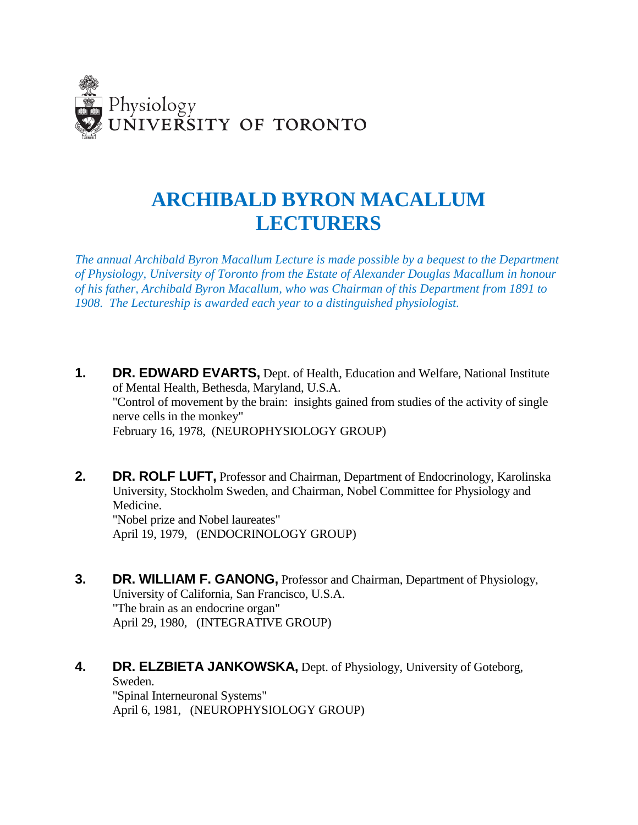

# **ARCHIBALD BYRON MACALLUM LECTURERS**

*The annual Archibald Byron Macallum Lecture is made possible by a bequest to the Department of Physiology, University of Toronto from the Estate of Alexander Douglas Macallum in honour of his father, Archibald Byron Macallum, who was Chairman of this Department from 1891 to 1908. The Lectureship is awarded each year to a distinguished physiologist.*

- **1. DR. EDWARD EVARTS,** Dept. of Health, Education and Welfare, National Institute of Mental Health, Bethesda, Maryland, U.S.A. "Control of movement by the brain: insights gained from studies of the activity of single nerve cells in the monkey" February 16, 1978, (NEUROPHYSIOLOGY GROUP)
- **2. DR. ROLF LUFT,** Professor and Chairman, Department of Endocrinology, Karolinska University, Stockholm Sweden, and Chairman, Nobel Committee for Physiology and Medicine. "Nobel prize and Nobel laureates" April 19, 1979, (ENDOCRINOLOGY GROUP)
- **3. DR. WILLIAM F. GANONG,** Professor and Chairman, Department of Physiology, University of California, San Francisco, U.S.A. "The brain as an endocrine organ" April 29, 1980, (INTEGRATIVE GROUP)

#### **4. DR. ELZBIETA JANKOWSKA,** Dept. of Physiology, University of Goteborg, Sweden.

"Spinal Interneuronal Systems" April 6, 1981, (NEUROPHYSIOLOGY GROUP)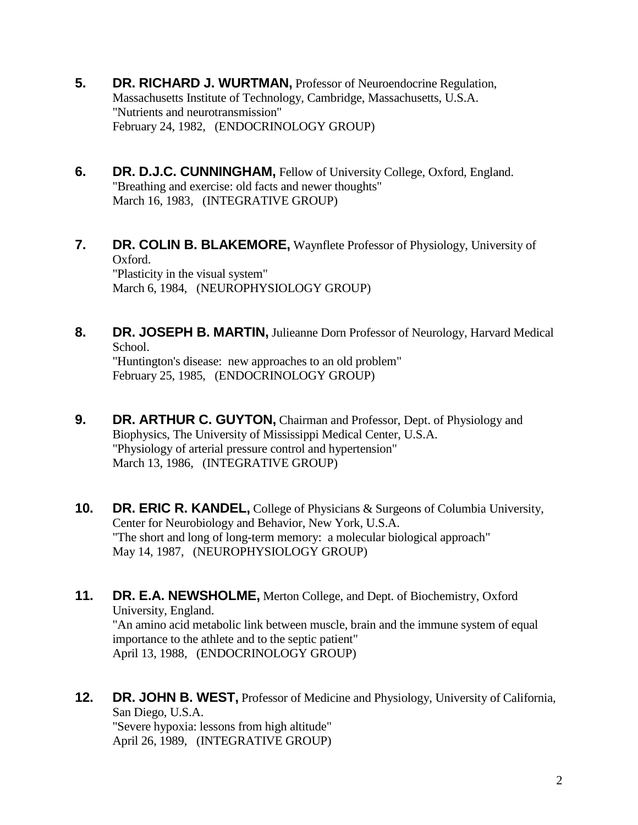- **5. DR. RICHARD J. WURTMAN,** Professor of Neuroendocrine Regulation, Massachusetts Institute of Technology, Cambridge, Massachusetts, U.S.A. "Nutrients and neurotransmission" February 24, 1982, (ENDOCRINOLOGY GROUP)
- **6. DR. D.J.C. CUNNINGHAM,** Fellow of University College, Oxford, England. "Breathing and exercise: old facts and newer thoughts" March 16, 1983, (INTEGRATIVE GROUP)
- **7. DR. COLIN B. BLAKEMORE,** Waynflete Professor of Physiology, University of Oxford. "Plasticity in the visual system"

March 6, 1984, (NEUROPHYSIOLOGY GROUP)

- **8. DR. JOSEPH B. MARTIN,** Julieanne Dorn Professor of Neurology, Harvard Medical School. "Huntington's disease: new approaches to an old problem" February 25, 1985, (ENDOCRINOLOGY GROUP)
- **9. DR. ARTHUR C. GUYTON,** Chairman and Professor, Dept. of Physiology and Biophysics, The University of Mississippi Medical Center, U.S.A. "Physiology of arterial pressure control and hypertension" March 13, 1986, (INTEGRATIVE GROUP)
- **10. DR. ERIC R. KANDEL,** College of Physicians & Surgeons of Columbia University, Center for Neurobiology and Behavior, New York, U.S.A. "The short and long of long-term memory: a molecular biological approach" May 14, 1987, (NEUROPHYSIOLOGY GROUP)
- **11. DR. E.A. NEWSHOLME,** Merton College, and Dept. of Biochemistry, Oxford University, England. "An amino acid metabolic link between muscle, brain and the immune system of equal importance to the athlete and to the septic patient" April 13, 1988, (ENDOCRINOLOGY GROUP)
- **12. DR. JOHN B. WEST,** Professor of Medicine and Physiology, University of California, San Diego, U.S.A. "Severe hypoxia: lessons from high altitude" April 26, 1989, (INTEGRATIVE GROUP)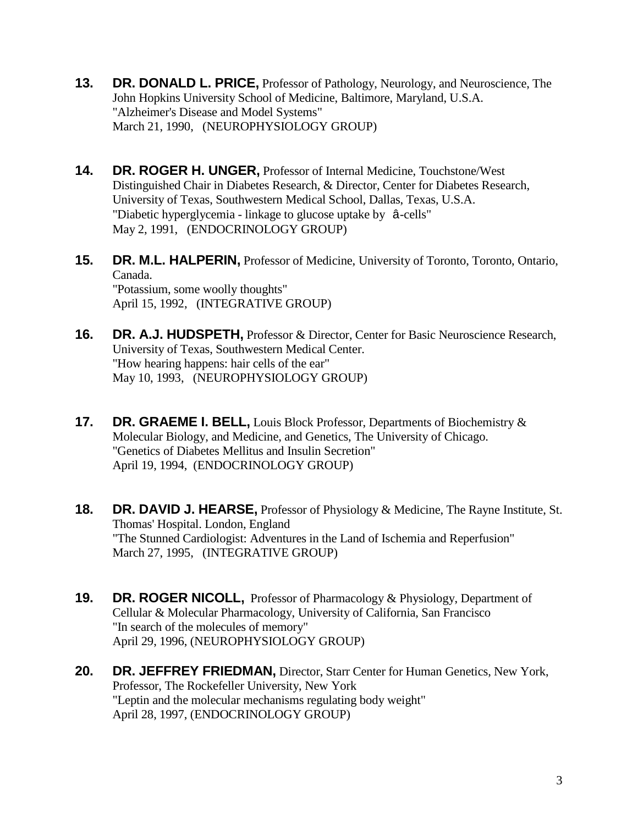- **13. DR. DONALD L. PRICE,** Professor of Pathology, Neurology, and Neuroscience, The John Hopkins University School of Medicine, Baltimore, Maryland, U.S.A. "Alzheimer's Disease and Model Systems" March 21, 1990, (NEUROPHYSIOLOGY GROUP)
- **14. DR. ROGER H. UNGER,** Professor of Internal Medicine, Touchstone/West Distinguished Chair in Diabetes Research, & Director, Center for Diabetes Research, University of Texas, Southwestern Medical School, Dallas, Texas, U.S.A. "Diabetic hyperglycemia - linkage to glucose uptake by â-cells" May 2, 1991, (ENDOCRINOLOGY GROUP)
- **15. DR. M.L. HALPERIN,** Professor of Medicine, University of Toronto, Toronto, Ontario, Canada. "Potassium, some woolly thoughts" April 15, 1992, (INTEGRATIVE GROUP)
- **16. DR. A.J. HUDSPETH,** Professor & Director, Center for Basic Neuroscience Research, University of Texas, Southwestern Medical Center. "How hearing happens: hair cells of the ear" May 10, 1993, (NEUROPHYSIOLOGY GROUP)
- **17. DR. GRAEME I. BELL,** Louis Block Professor, Departments of Biochemistry & Molecular Biology, and Medicine, and Genetics, The University of Chicago. "Genetics of Diabetes Mellitus and Insulin Secretion" April 19, 1994, (ENDOCRINOLOGY GROUP)
- **18. DR. DAVID J. HEARSE,** Professor of Physiology & Medicine, The Rayne Institute, St. Thomas' Hospital. London, England "The Stunned Cardiologist: Adventures in the Land of Ischemia and Reperfusion" March 27, 1995, (INTEGRATIVE GROUP)
- **19. DR. ROGER NICOLL,** Professor of Pharmacology & Physiology, Department of Cellular & Molecular Pharmacology, University of California, San Francisco "In search of the molecules of memory" April 29, 1996, (NEUROPHYSIOLOGY GROUP)
- **20. DR. JEFFREY FRIEDMAN,** Director, Starr Center for Human Genetics, New York, Professor, The Rockefeller University, New York "Leptin and the molecular mechanisms regulating body weight" April 28, 1997, (ENDOCRINOLOGY GROUP)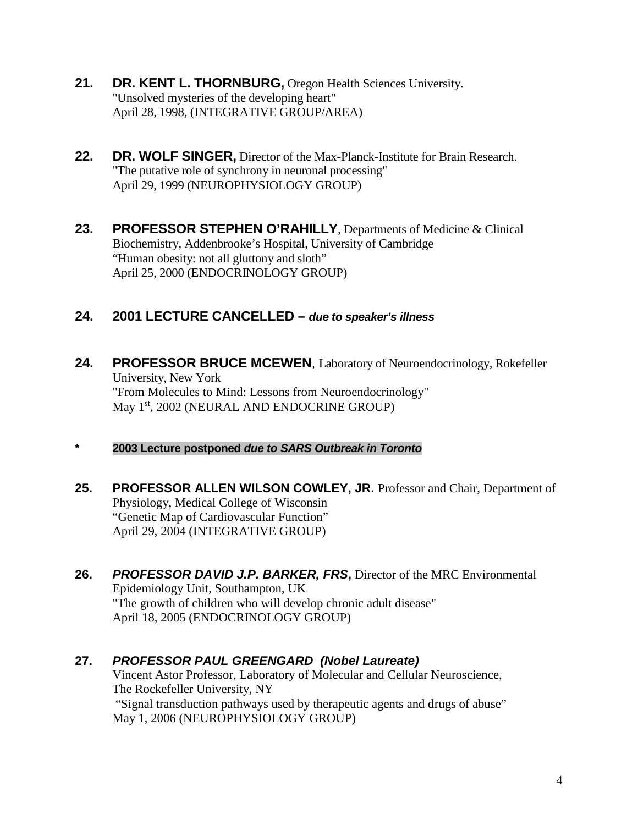- **21. DR. KENT L. THORNBURG,** Oregon Health Sciences University. "Unsolved mysteries of the developing heart" April 28, 1998, (INTEGRATIVE GROUP/AREA)
- **22. DR. WOLF SINGER,** Director of the Max-Planck-Institute for Brain Research. "The putative role of synchrony in neuronal processing" April 29, 1999 (NEUROPHYSIOLOGY GROUP)
- **23. PROFESSOR STEPHEN O'RAHILLY**, Departments of Medicine & Clinical Biochemistry, Addenbrooke's Hospital, University of Cambridge "Human obesity: not all gluttony and sloth" April 25, 2000 (ENDOCRINOLOGY GROUP)

## **24. 2001 LECTURE CANCELLED –** *due to speaker's illness*

- **24. PROFESSOR BRUCE MCEWEN**, Laboratory of Neuroendocrinology, Rokefeller University, New York "From Molecules to Mind: Lessons from Neuroendocrinology" May 1<sup>st</sup>, 2002 (NEURAL AND ENDOCRINE GROUP)
- **\* 2003 Lecture postponed** *due to SARS Outbreak in Toronto*
- **25. PROFESSOR ALLEN WILSON COWLEY, JR.** Professor and Chair, Department of Physiology, Medical College of Wisconsin "Genetic Map of Cardiovascular Function" April 29, 2004 (INTEGRATIVE GROUP)
- **26.** *PROFESSOR DAVID J.P. BARKER, FRS***,** Director of the MRC Environmental Epidemiology Unit, Southampton, UK "The growth of children who will develop chronic adult disease" April 18, 2005 (ENDOCRINOLOGY GROUP)

#### **27.** *PROFESSOR PAUL GREENGARD**(Nobel Laureate)* Vincent Astor Professor, Laboratory of Molecular and Cellular Neuroscience, The Rockefeller University, NY "Signal transduction pathways used by therapeutic agents and drugs of abuse" May 1, 2006 (NEUROPHYSIOLOGY GROUP)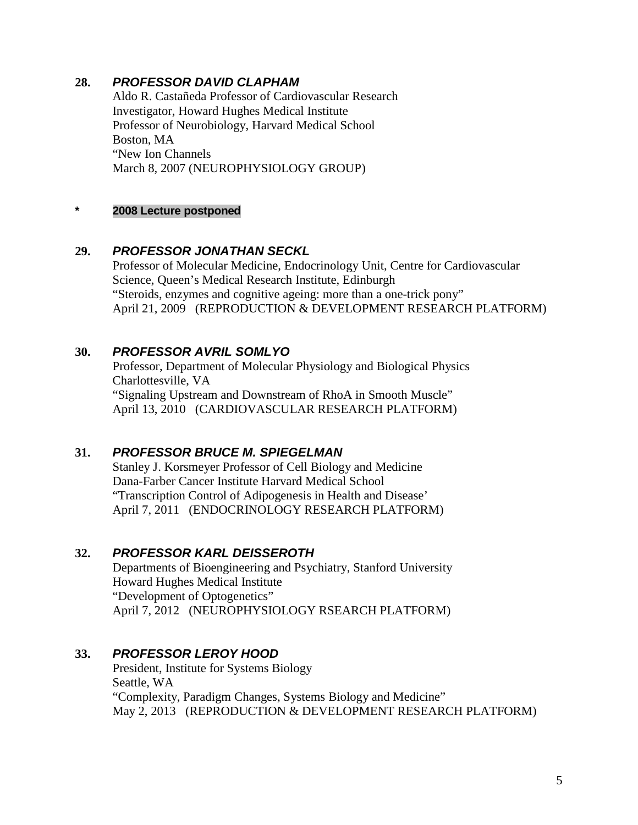### **28.** *PROFESSOR DAVID CLAPHAM*

Aldo R. Castañeda Professor of Cardiovascular Research Investigator, Howard Hughes Medical Institute Professor of Neurobiology, Harvard Medical School Boston, MA "New Ion Channels March 8, 2007 (NEUROPHYSIOLOGY GROUP)

### **\* 2008 Lecture postponed**

### **29.** *PROFESSOR JONATHAN SECKL*

Professor of Molecular Medicine, Endocrinology Unit, Centre for Cardiovascular Science, Queen's Medical Research Institute, Edinburgh "Steroids, enzymes and cognitive ageing: more than a one-trick pony" April 21, 2009 (REPRODUCTION & DEVELOPMENT RESEARCH PLATFORM)

### **30.** *PROFESSOR AVRIL SOMLYO*

Professor, Department of Molecular Physiology and Biological Physics Charlottesville, VA "Signaling Upstream and Downstream of RhoA in Smooth Muscle" April 13, 2010 (CARDIOVASCULAR RESEARCH PLATFORM)

## **31.** *PROFESSOR BRUCE M. SPIEGELMAN*

Stanley J. Korsmeyer Professor of Cell Biology and Medicine Dana-Farber Cancer Institute Harvard Medical School "Transcription Control of Adipogenesis in Health and Disease' April 7, 2011 (ENDOCRINOLOGY RESEARCH PLATFORM)

### **32.** *PROFESSOR KARL DEISSEROTH*

Departments of Bioengineering and Psychiatry, Stanford University Howard Hughes Medical Institute "Development of Optogenetics" April 7, 2012 (NEUROPHYSIOLOGY RSEARCH PLATFORM)

### **33.** *PROFESSOR LEROY HOOD*

President, Institute for Systems Biology Seattle, WA "Complexity, Paradigm Changes, Systems Biology and Medicine" May 2, 2013 (REPRODUCTION & DEVELOPMENT RESEARCH PLATFORM)